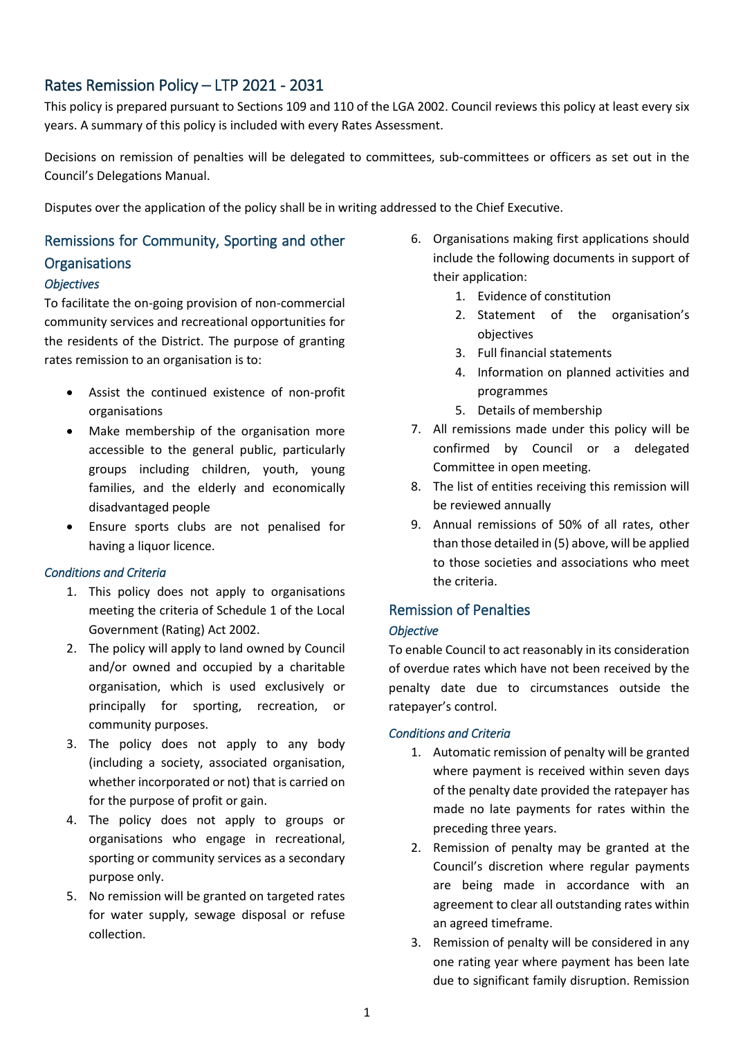# Rates Remission Policy – LTP 2021 - 2031

This policy is prepared pursuant to Sections 109 and 110 of the LGA 2002. Council reviews this policy at least every six years. A summary of this policy is included with every Rates Assessment.

Decisions on remission of penalties will be delegated to committees, sub-committees or officers as set out in the Council's Delegations Manual.

Disputes over the application of the policy shall be in writing addressed to the Chief Executive.

# Remissions for Community, Sporting and other

### **Organisations**

### *Objectives*

To facilitate the on-going provision of non-commercial community services and recreational opportunities for the residents of the District. The purpose of granting rates remission to an organisation is to:

- Assist the continued existence of non-profit organisations
- Make membership of the organisation more accessible to the general public, particularly groups including children, youth, young families, and the elderly and economically disadvantaged people
- Ensure sports clubs are not penalised for having a liquor licence.

### *Conditions and Criteria*

- 1. This policy does not apply to organisations meeting the criteria of Schedule 1 of the Local Government (Rating) Act 2002.
- 2. The policy will apply to land owned by Council and/or owned and occupied by a charitable organisation, which is used exclusively or principally for sporting, recreation, or community purposes.
- 3. The policy does not apply to any body (including a society, associated organisation, whether incorporated or not) that is carried on for the purpose of profit or gain.
- 4. The policy does not apply to groups or organisations who engage in recreational, sporting or community services as a secondary purpose only.
- 5. No remission will be granted on targeted rates for water supply, sewage disposal or refuse collection.
- 6. Organisations making first applications should include the following documents in support of their application:
	- 1. Evidence of constitution
	- 2. Statement of the organisation's objectives
	- 3. Full financial statements
	- 4. Information on planned activities and programmes
	- 5. Details of membership
- 7. All remissions made under this policy will be confirmed by Council or a delegated Committee in open meeting.
- 8. The list of entities receiving this remission will be reviewed annually
- 9. Annual remissions of 50% of all rates, other than those detailed in (5) above, will be applied to those societies and associations who meet the criteria.

# Remission of Penalties *Objective*

To enable Council to act reasonably in its consideration of overdue rates which have not been received by the penalty date due to circumstances outside the ratepayer's control.

### *Conditions and Criteria*

- 1. Automatic remission of penalty will be granted where payment is received within seven days of the penalty date provided the ratepayer has made no late payments for rates within the preceding three years.
- 2. Remission of penalty may be granted at the Council's discretion where regular payments are being made in accordance with an agreement to clear all outstanding rates within an agreed timeframe.
- 3. Remission of penalty will be considered in any one rating year where payment has been late due to significant family disruption. Remission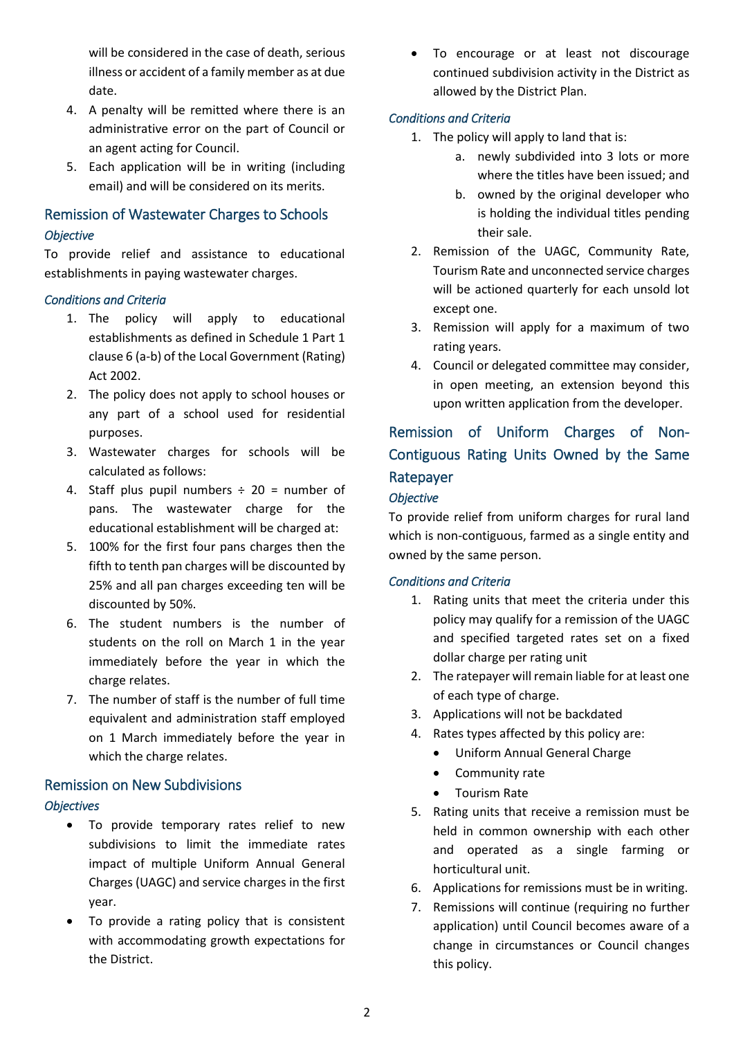will be considered in the case of death, serious illness or accident of a family member as at due date.

- 4. A penalty will be remitted where there is an administrative error on the part of Council or an agent acting for Council.
- 5. Each application will be in writing (including email) and will be considered on its merits.

# Remission of Wastewater Charges to Schools *Objective*

To provide relief and assistance to educational establishments in paying wastewater charges.

### *Conditions and Criteria*

- 1. The policy will apply to educational establishments as defined in Schedule 1 Part 1 clause 6 (a-b) of the Local Government (Rating) Act 2002.
- 2. The policy does not apply to school houses or any part of a school used for residential purposes.
- 3. Wastewater charges for schools will be calculated as follows:
- 4. Staff plus pupil numbers  $\div$  20 = number of pans. The wastewater charge for the educational establishment will be charged at:
- 5. 100% for the first four pans charges then the fifth to tenth pan charges will be discounted by 25% and all pan charges exceeding ten will be discounted by 50%.
- 6. The student numbers is the number of students on the roll on March 1 in the year immediately before the year in which the charge relates.
- 7. The number of staff is the number of full time equivalent and administration staff employed on 1 March immediately before the year in which the charge relates.

# Remission on New Subdivisions *Objectives*

- To provide temporary rates relief to new subdivisions to limit the immediate rates impact of multiple Uniform Annual General Charges (UAGC) and service charges in the first year.
- To provide a rating policy that is consistent with accommodating growth expectations for the District.

 To encourage or at least not discourage continued subdivision activity in the District as allowed by the District Plan.

### *Conditions and Criteria*

- 1. The policy will apply to land that is:
	- a. newly subdivided into 3 lots or more where the titles have been issued; and
	- b. owned by the original developer who is holding the individual titles pending their sale.
- 2. Remission of the UAGC, Community Rate, Tourism Rate and unconnected service charges will be actioned quarterly for each unsold lot except one.
- 3. Remission will apply for a maximum of two rating years.
- 4. Council or delegated committee may consider, in open meeting, an extension beyond this upon written application from the developer.

# Remission of Uniform Charges of Non-Contiguous Rating Units Owned by the Same Ratepayer

### *Objective*

To provide relief from uniform charges for rural land which is non-contiguous, farmed as a single entity and owned by the same person.

# *Conditions and Criteria*

- 1. Rating units that meet the criteria under this policy may qualify for a remission of the UAGC and specified targeted rates set on a fixed dollar charge per rating unit
- 2. The ratepayer will remain liable for at least one of each type of charge.
- 3. Applications will not be backdated
- 4. Rates types affected by this policy are:
	- Uniform Annual General Charge
	- Community rate
	- Tourism Rate
- 5. Rating units that receive a remission must be held in common ownership with each other and operated as a single farming or horticultural unit.
- 6. Applications for remissions must be in writing.
- 7. Remissions will continue (requiring no further application) until Council becomes aware of a change in circumstances or Council changes this policy.